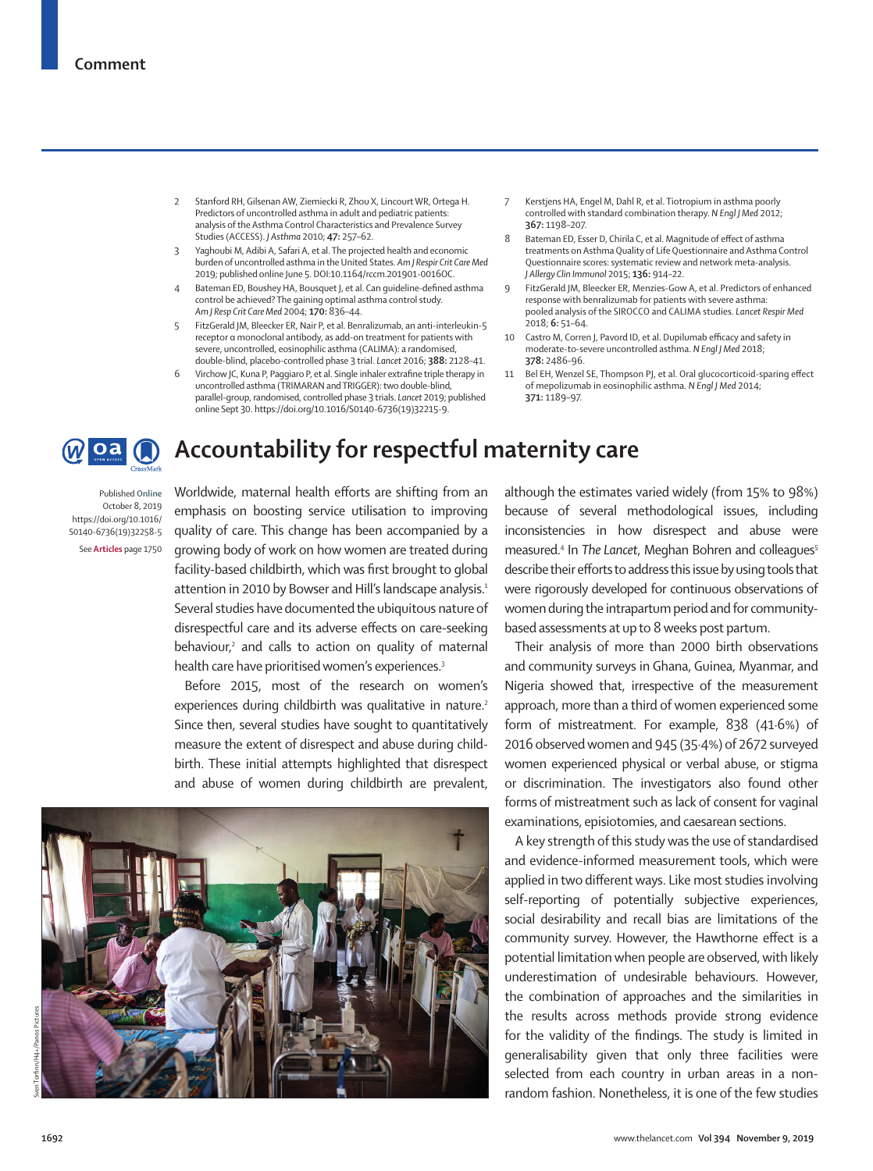- 2 Stanford RH, Gilsenan AW, Ziemiecki R, Zhou X, Lincourt WR, Ortega H. Predictors of uncontrolled asthma in adult and pediatric patients: analysis of the Asthma Control Characteristics and Prevalence Survey Studies (ACCESS). *J Asthma* 2010; **47:** 257–62.
- 3 Yaghoubi M, Adibi A, Safari A, et al. The projected health and economic burden of uncontrolled asthma in the United States. *Am J Respir Crit Care Med* 2019; published online June 5. DOI:10.1164/rccm.201901-0016OC.
- Bateman ED, Boushey HA, Bousquet J, et al. Can guideline-defined asthma control be achieved? The gaining optimal asthma control study. *Am J Resp Crit Care Med* 2004; **170:** 836–44.
- 5 FitzGerald JM, Bleecker ER, Nair P, et al. Benralizumab, an anti-interleukin-5 receptor α monoclonal antibody, as add-on treatment for patients with severe, uncontrolled, eosinophilic asthma (CALIMA): a randomised, double-blind, placebo-controlled phase 3 trial. *Lancet* 2016; **388:** 2128–41.
- 6 Virchow JC, Kuna P, Paggiaro P, et al. Single inhaler extrafine triple therapy in uncontrolled asthma (TRIMARAN and TRIGGER): two double-blind, parallel-group, randomised, controlled phase 3 trials. *Lancet* 2019; published online Sept 30. https://doi.org/10.1016/S0140-6736(19)32215-9.
- Kerstjens HA, Engel M, Dahl R, et al. Tiotropium in asthma poorly controlled with standard combination therapy. *N Engl J Med* 2012; **367:** 1198–207.
- 8 Bateman ED, Esser D, Chirila C, et al. Magnitude of effect of asthma treatments on Asthma Quality of Life Questionnaire and Asthma Control Questionnaire scores: systematic review and network meta-analysis. *J Allergy Clin Immunol* 2015; **136:** 914–22.
- 9 FitzGerald JM, Bleecker ER, Menzies-Gow A, et al. Predictors of enhanced response with benralizumab for patients with severe asthma: pooled analysis of the SIROCCO and CALIMA studies. *Lancet Respir Med* 2018; **6:** 51–64.
- 10 Castro M, Corren J, Pavord ID, et al. Dupilumab efficacy and safety in moderate-to-severe uncontrolled asthma. *N Engl J Med* 2018; **378:** 2486–96.
- 11 Bel EH, Wenzel SE, Thompson PJ, et al. Oral glucocorticoid-sparing effect of mepolizumab in eosinophilic asthma. *N Engl J Med* 2014; **371:** 1189–97.

## loa () **Accountability for respectful maternity care**

Published **Online** October 8, 2019 https://doi.org/10.1016/ S0140-6736(19)32258-5 See **Articles** page 1750

Worldwide, maternal health efforts are shifting from an emphasis on boosting service utilisation to improving quality of care. This change has been accompanied by a growing body of work on how women are treated during facility-based childbirth, which was first brought to global attention in 2010 by Bowser and Hill's landscape analysis.<sup>1</sup> Several studies have documented the ubiquitous nature of disrespectful care and its adverse effects on care-seeking  $behavior<sub>r</sub><sup>2</sup>$  and calls to action on quality of maternal health care have prioritised women's experiences.<sup>3</sup>

Before 2015, most of the research on women's experiences during childbirth was qualitative in nature.<sup>2</sup> Since then, several studies have sought to quantitatively measure the extent of disrespect and abuse during childbirth. These initial attempts highlighted that disrespect and abuse of women during childbirth are prevalent,

although the estimates varied widely (from 15% to 98%) because of several methodological issues, including inconsistencies in how disrespect and abuse were measured.<sup>4</sup> In The Lancet, Meghan Bohren and colleagues<sup>5</sup> describe their efforts to address this issue by using tools that were rigorously developed for continuous observations of women during the intrapartum period and for communitybased assessments at up to 8 weeks post partum.

Their analysis of more than 2000 birth observations and community surveys in Ghana, Guinea, Myanmar, and Nigeria showed that, irrespective of the measurement approach, more than a third of women experienced some form of mistreatment. For example, 838 (41·6%) of 2016 observed women and 945 (35·4%) of 2672 surveyed women experienced physical or verbal abuse, or stigma or discrimination. The investigators also found other forms of mistreatment such as lack of consent for vaginal examinations, episiotomies, and caesarean sections.

A key strength of this study was the use of standardised and evidence-informed measurement tools, which were applied in two different ways. Like most studies involving self-reporting of potentially subjective experiences, social desirability and recall bias are limitations of the community survey. However, the Hawthorne effect is a potential limitation when people are observed, with likely underestimation of undesirable behaviours. However, the combination of approaches and the similarities in the results across methods provide strong evidence for the validity of the findings. The study is limited in generalisability given that only three facilities were selected from each country in urban areas in a nonrandom fashion. Nonetheless, it is one of the few studies